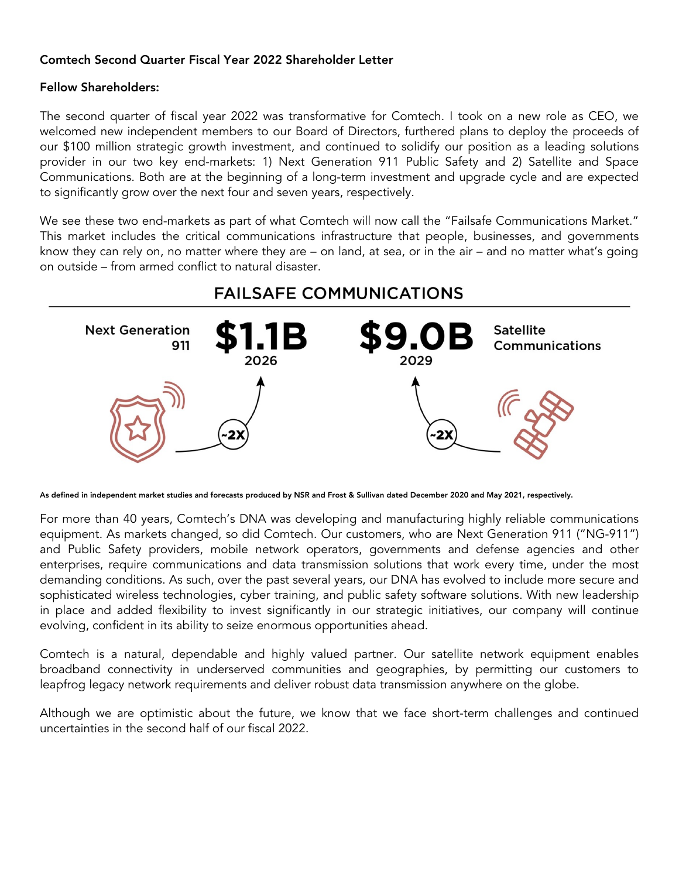## **Comtech Second Quarter Fiscal Year 2022 Shareholder Letter**

## **Fellow Shareholders:**

The second quarter of fiscal year 2022 was transformative for Comtech. I took on a new role as CEO, we welcomed new independent members to our Board of Directors, furthered plans to deploy the proceeds of our \$100 million strategic growth investment, and continued to solidify our position as a leading solutions provider in our two key end-markets: 1) Next Generation 911 Public Safety and 2) Satellite and Space Communications. Both are at the beginning of a long-term investment and upgrade cycle and are expected to significantly grow over the next four and seven years, respectively.

We see these two end-markets as part of what Comtech will now call the "Failsafe Communications Market." This market includes the critical communications infrastructure that people, businesses, and governments know they can rely on, no matter where they are – on land, at sea, or in the air – and no matter what's going on outside – from armed conflict to natural disaster.



**As defined in independent market studies and forecasts produced by NSR and Frost & Sullivan dated December 2020 and May 2021, respectively.** 

For more than 40 years, Comtech's DNA was developing and manufacturing highly reliable communications equipment. As markets changed, so did Comtech. Our customers, who are Next Generation 911 ("NG-911") and Public Safety providers, mobile network operators, governments and defense agencies and other enterprises, require communications and data transmission solutions that work every time, under the most demanding conditions. As such, over the past several years, our DNA has evolved to include more secure and sophisticated wireless technologies, cyber training, and public safety software solutions. With new leadership in place and added flexibility to invest significantly in our strategic initiatives, our company will continue evolving, confident in its ability to seize enormous opportunities ahead.

Comtech is a natural, dependable and highly valued partner. Our satellite network equipment enables broadband connectivity in underserved communities and geographies, by permitting our customers to leapfrog legacy network requirements and deliver robust data transmission anywhere on the globe.

Although we are optimistic about the future, we know that we face short-term challenges and continued uncertainties in the second half of our fiscal 2022.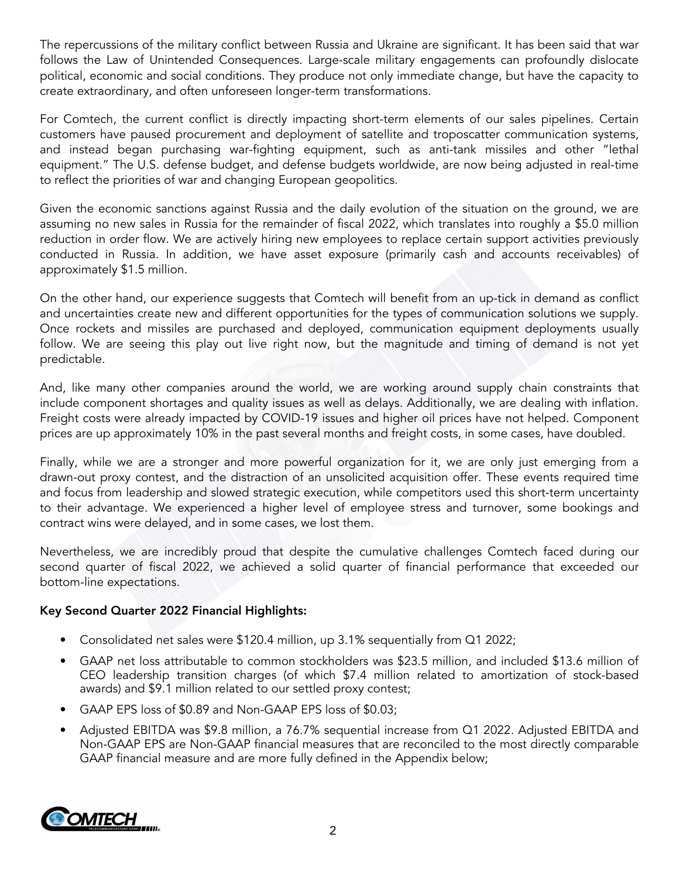The repercussions of the military conflict between Russia and Ukraine are significant. It has been said that war follows the Law of Unintended Consequences. Large-scale military engagements can profoundly dislocate political, economic and social conditions. They produce not only immediate change, but have the capacity to create extraordinary, and often unforeseen longer-term transformations.

For Comtech, the current conflict is directly impacting short-term elements of our sales pipelines. Certain customers have paused procurement and deployment of satellite and troposcatter communication systems, and instead began purchasing war-fighting equipment, such as anti-tank missiles and other "lethal equipment." The U.S. defense budget, and defense budgets worldwide, are now being adjusted in real-time to reflect the priorities of war and changing European geopolitics.

Given the economic sanctions against Russia and the daily evolution of the situation on the ground, we are assuming no new sales in Russia for the remainder of fiscal 2022, which translates into roughly a \$5.0 million reduction in order flow. We are actively hiring new employees to replace certain support activities previously conducted in Russia. In addition, we have asset exposure (primarily cash and accounts receivables) of approximately \$1.5 million.

On the other hand, our experience suggests that Comtech will benefit from an up-tick in demand as conflict and uncertainties create new and different opportunities for the types of communication solutions we supply. Once rockets and missiles are purchased and deployed, communication equipment deployments usually follow. We are seeing this play out live right now, but the magnitude and timing of demand is not yet predictable.

And, like many other companies around the world, we are working around supply chain constraints that include component shortages and quality issues as well as delays. Additionally, we are dealing with inflation. Freight costs were already impacted by COVID-19 issues and higher oil prices have not helped. Component prices are up approximately 10% in the past several months and freight costs, in some cases, have doubled.

Finally, while we are a stronger and more powerful organization for it, we are only just emerging from a drawn-out proxy contest, and the distraction of an unsolicited acquisition offer. These events required time and focus from leadership and slowed strategic execution, while competitors used this short-term uncertainty to their advantage. We experienced a higher level of employee stress and turnover, some bookings and contract wins were delayed, and in some cases, we lost them.

Nevertheless, we are incredibly proud that despite the cumulative challenges Comtech faced during our second quarter of fiscal 2022, we achieved a solid quarter of financial performance that exceeded our bottom-line expectations.

# **Key Second Quarter 2022 Financial Highlights:**

- Consolidated net sales were \$120.4 million, up 3.1% sequentially from Q1 2022;
- GAAP net loss attributable to common stockholders was \$23.5 million, and included \$13.6 million of CEO leadership transition charges (of which \$7.4 million related to amortization of stock-based awards) and \$9.1 million related to our settled proxy contest;
- GAAP EPS loss of \$0.89 and Non-GAAP EPS loss of \$0.03;
- Adjusted EBITDA was \$9.8 million, a 76.7% sequential increase from Q1 2022. Adjusted EBITDA and Non-GAAP EPS are Non-GAAP financial measures that are reconciled to the most directly comparable GAAP financial measure and are more fully defined in the Appendix below;

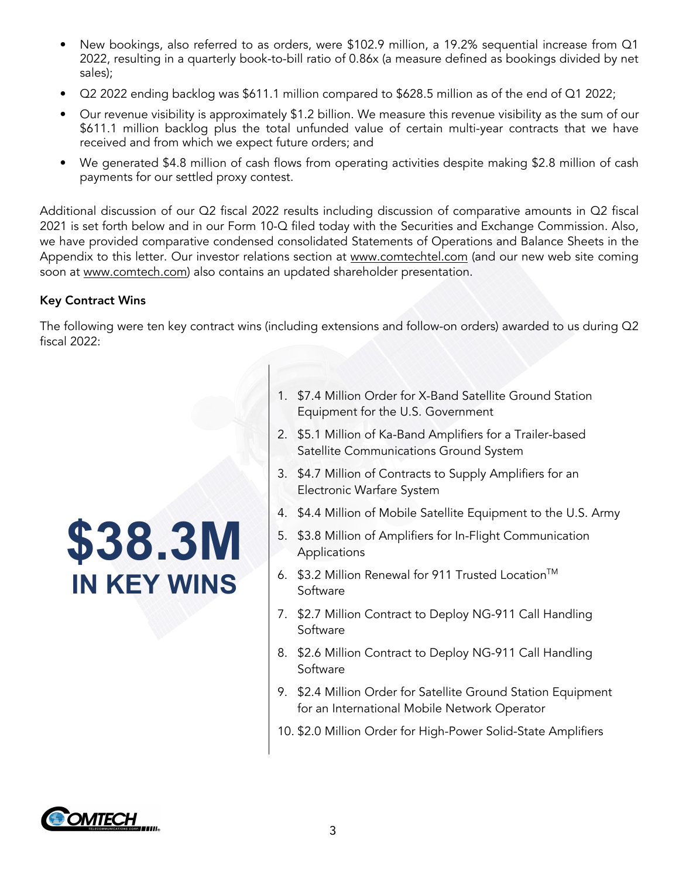- New bookings, also referred to as orders, were \$102.9 million, a 19.2% sequential increase from Q1 2022, resulting in a quarterly book-to-bill ratio of 0.86x (a measure defined as bookings divided by net sales);
- Q2 2022 ending backlog was \$611.1 million compared to \$628.5 million as of the end of Q1 2022;
- Our revenue visibility is approximately \$1.2 billion. We measure this revenue visibility as the sum of our \$611.1 million backlog plus the total unfunded value of certain multi-year contracts that we have received and from which we expect future orders; and
- We generated \$4.8 million of cash flows from operating activities despite making \$2.8 million of cash payments for our settled proxy contest.

Additional discussion of our Q2 fiscal 2022 results including discussion of comparative amounts in Q2 fiscal 2021 is set forth below and in our Form 10-Q filed today with the Securities and Exchange Commission. Also, we have provided comparative condensed consolidated Statements of Operations and Balance Sheets in the Appendix to this letter. Our investor relations section at www.comtechtel.com (and our new web site coming soon at www.comtech.com) also contains an updated shareholder presentation.

# **Key Contract Wins**

The following were ten key contract wins (including extensions and follow-on orders) awarded to us during Q2 fiscal 2022:

# **\$38.3M IN KEY WINS**

- 1. \$7.4 Million Order for X-Band Satellite Ground Station Equipment for the U.S. Government
- 2. \$5.1 Million of Ka-Band Amplifiers for a Trailer-based Satellite Communications Ground System
- 3. \$4.7 Million of Contracts to Supply Amplifiers for an Electronic Warfare System
- 4. \$4.4 Million of Mobile Satellite Equipment to the U.S. Army
- 5. \$3.8 Million of Amplifiers for In-Flight Communication Applications
- 6. \$3.2 Million Renewal for 911 Trusted Location™ Software
- 7. \$2.7 Million Contract to Deploy NG-911 Call Handling Software
- 8. \$2.6 Million Contract to Deploy NG-911 Call Handling Software
- 9. \$2.4 Million Order for Satellite Ground Station Equipment for an International Mobile Network Operator
- 10. \$2.0 Million Order for High-Power Solid-State Amplifiers

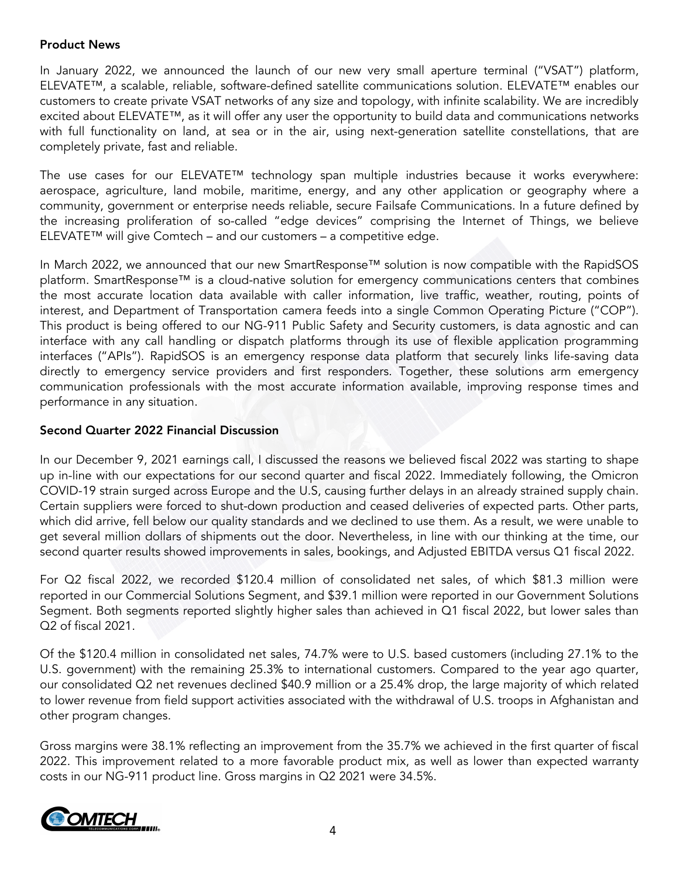## **Product News**

In January 2022, we announced the launch of our new very small aperture terminal ("VSAT") platform, ELEVATE™, a scalable, reliable, software-defined satellite communications solution. ELEVATE™ enables our customers to create private VSAT networks of any size and topology, with infinite scalability. We are incredibly excited about ELEVATE™, as it will offer any user the opportunity to build data and communications networks with full functionality on land, at sea or in the air, using next-generation satellite constellations, that are completely private, fast and reliable.

The use cases for our ELEVATE™ technology span multiple industries because it works everywhere: aerospace, agriculture, land mobile, maritime, energy, and any other application or geography where a community, government or enterprise needs reliable, secure Failsafe Communications. In a future defined by the increasing proliferation of so-called "edge devices" comprising the Internet of Things, we believe ELEVATE™ will give Comtech – and our customers – a competitive edge.

In March 2022, we announced that our new SmartResponse™ solution is now compatible with the RapidSOS platform. SmartResponse™ is a cloud-native solution for emergency communications centers that combines the most accurate location data available with caller information, live traffic, weather, routing, points of interest, and Department of Transportation camera feeds into a single Common Operating Picture ("COP"). This product is being offered to our NG-911 Public Safety and Security customers, is data agnostic and can interface with any call handling or dispatch platforms through its use of flexible application programming interfaces ("APIs"). RapidSOS is an emergency response data platform that securely links life-saving data directly to emergency service providers and first responders. Together, these solutions arm emergency communication professionals with the most accurate information available, improving response times and performance in any situation.

## **Second Quarter 2022 Financial Discussion**

In our December 9, 2021 earnings call, I discussed the reasons we believed fiscal 2022 was starting to shape up in-line with our expectations for our second quarter and fiscal 2022. Immediately following, the Omicron COVID-19 strain surged across Europe and the U.S, causing further delays in an already strained supply chain. Certain suppliers were forced to shut-down production and ceased deliveries of expected parts. Other parts, which did arrive, fell below our quality standards and we declined to use them. As a result, we were unable to get several million dollars of shipments out the door. Nevertheless, in line with our thinking at the time, our second quarter results showed improvements in sales, bookings, and Adjusted EBITDA versus Q1 fiscal 2022.

For Q2 fiscal 2022, we recorded \$120.4 million of consolidated net sales, of which \$81.3 million were reported in our Commercial Solutions Segment, and \$39.1 million were reported in our Government Solutions Segment. Both segments reported slightly higher sales than achieved in Q1 fiscal 2022, but lower sales than Q2 of fiscal 2021.

Of the \$120.4 million in consolidated net sales, 74.7% were to U.S. based customers (including 27.1% to the U.S. government) with the remaining 25.3% to international customers. Compared to the year ago quarter, our consolidated Q2 net revenues declined \$40.9 million or a 25.4% drop, the large majority of which related to lower revenue from field support activities associated with the withdrawal of U.S. troops in Afghanistan and other program changes.

Gross margins were 38.1% reflecting an improvement from the 35.7% we achieved in the first quarter of fiscal 2022. This improvement related to a more favorable product mix, as well as lower than expected warranty costs in our NG-911 product line. Gross margins in Q2 2021 were 34.5%.

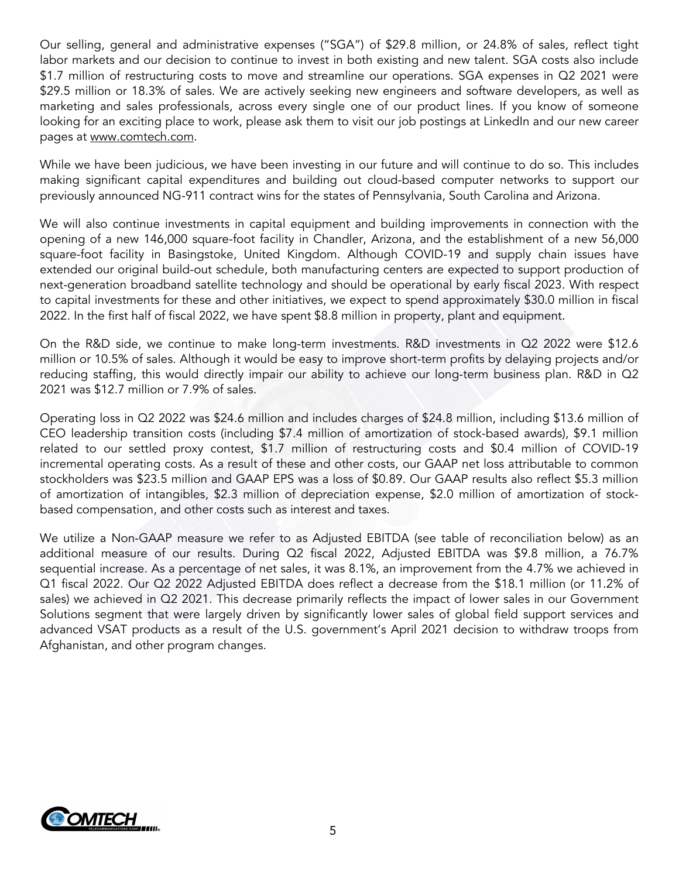Our selling, general and administrative expenses ("SGA") of \$29.8 million, or 24.8% of sales, reflect tight labor markets and our decision to continue to invest in both existing and new talent. SGA costs also include \$1.7 million of restructuring costs to move and streamline our operations. SGA expenses in Q2 2021 were \$29.5 million or 18.3% of sales. We are actively seeking new engineers and software developers, as well as marketing and sales professionals, across every single one of our product lines. If you know of someone looking for an exciting place to work, please ask them to visit our job postings at LinkedIn and our new career pages at www.comtech.com.

While we have been judicious, we have been investing in our future and will continue to do so. This includes making significant capital expenditures and building out cloud-based computer networks to support our previously announced NG-911 contract wins for the states of Pennsylvania, South Carolina and Arizona.

We will also continue investments in capital equipment and building improvements in connection with the opening of a new 146,000 square-foot facility in Chandler, Arizona, and the establishment of a new 56,000 square-foot facility in Basingstoke, United Kingdom. Although COVID-19 and supply chain issues have extended our original build-out schedule, both manufacturing centers are expected to support production of next-generation broadband satellite technology and should be operational by early fiscal 2023. With respect to capital investments for these and other initiatives, we expect to spend approximately \$30.0 million in fiscal 2022. In the first half of fiscal 2022, we have spent \$8.8 million in property, plant and equipment.

On the R&D side, we continue to make long-term investments. R&D investments in Q2 2022 were \$12.6 million or 10.5% of sales. Although it would be easy to improve short-term profits by delaying projects and/or reducing staffing, this would directly impair our ability to achieve our long-term business plan. R&D in Q2 2021 was \$12.7 million or 7.9% of sales.

Operating loss in Q2 2022 was \$24.6 million and includes charges of \$24.8 million, including \$13.6 million of CEO leadership transition costs (including \$7.4 million of amortization of stock-based awards), \$9.1 million related to our settled proxy contest, \$1.7 million of restructuring costs and \$0.4 million of COVID-19 incremental operating costs. As a result of these and other costs, our GAAP net loss attributable to common stockholders was \$23.5 million and GAAP EPS was a loss of \$0.89. Our GAAP results also reflect \$5.3 million of amortization of intangibles, \$2.3 million of depreciation expense, \$2.0 million of amortization of stockbased compensation, and other costs such as interest and taxes.

We utilize a Non-GAAP measure we refer to as Adjusted EBITDA (see table of reconciliation below) as an additional measure of our results. During Q2 fiscal 2022, Adjusted EBITDA was \$9.8 million, a 76.7% sequential increase. As a percentage of net sales, it was 8.1%, an improvement from the 4.7% we achieved in Q1 fiscal 2022. Our Q2 2022 Adjusted EBITDA does reflect a decrease from the \$18.1 million (or 11.2% of sales) we achieved in Q2 2021. This decrease primarily reflects the impact of lower sales in our Government Solutions segment that were largely driven by significantly lower sales of global field support services and advanced VSAT products as a result of the U.S. government's April 2021 decision to withdraw troops from Afghanistan, and other program changes.

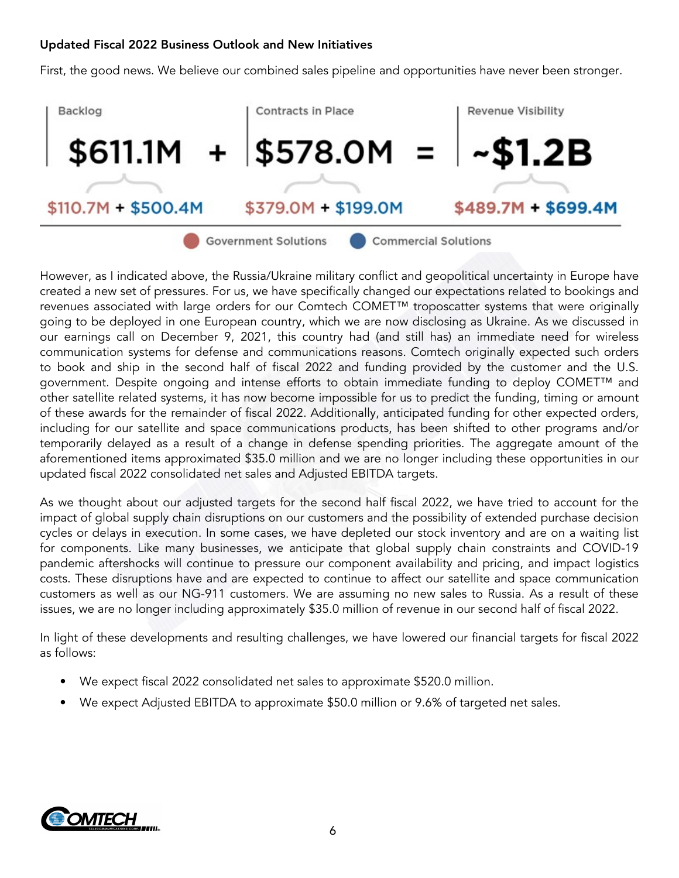## **Updated Fiscal 2022 Business Outlook and New Initiatives**

First, the good news. We believe our combined sales pipeline and opportunities have never been stronger.



However, as I indicated above, the Russia/Ukraine military conflict and geopolitical uncertainty in Europe have created a new set of pressures. For us, we have specifically changed our expectations related to bookings and revenues associated with large orders for our Comtech COMET™ troposcatter systems that were originally going to be deployed in one European country, which we are now disclosing as Ukraine. As we discussed in our earnings call on December 9, 2021, this country had (and still has) an immediate need for wireless communication systems for defense and communications reasons. Comtech originally expected such orders to book and ship in the second half of fiscal 2022 and funding provided by the customer and the U.S. government. Despite ongoing and intense efforts to obtain immediate funding to deploy COMET™ and other satellite related systems, it has now become impossible for us to predict the funding, timing or amount of these awards for the remainder of fiscal 2022. Additionally, anticipated funding for other expected orders, including for our satellite and space communications products, has been shifted to other programs and/or temporarily delayed as a result of a change in defense spending priorities. The aggregate amount of the aforementioned items approximated \$35.0 million and we are no longer including these opportunities in our updated fiscal 2022 consolidated net sales and Adjusted EBITDA targets.

As we thought about our adjusted targets for the second half fiscal 2022, we have tried to account for the impact of global supply chain disruptions on our customers and the possibility of extended purchase decision cycles or delays in execution. In some cases, we have depleted our stock inventory and are on a waiting list for components. Like many businesses, we anticipate that global supply chain constraints and COVID-19 pandemic aftershocks will continue to pressure our component availability and pricing, and impact logistics costs. These disruptions have and are expected to continue to affect our satellite and space communication customers as well as our NG-911 customers. We are assuming no new sales to Russia. As a result of these issues, we are no longer including approximately \$35.0 million of revenue in our second half of fiscal 2022.

In light of these developments and resulting challenges, we have lowered our financial targets for fiscal 2022 as follows:

- We expect fiscal 2022 consolidated net sales to approximate \$520.0 million.
- We expect Adjusted EBITDA to approximate \$50.0 million or 9.6% of targeted net sales.

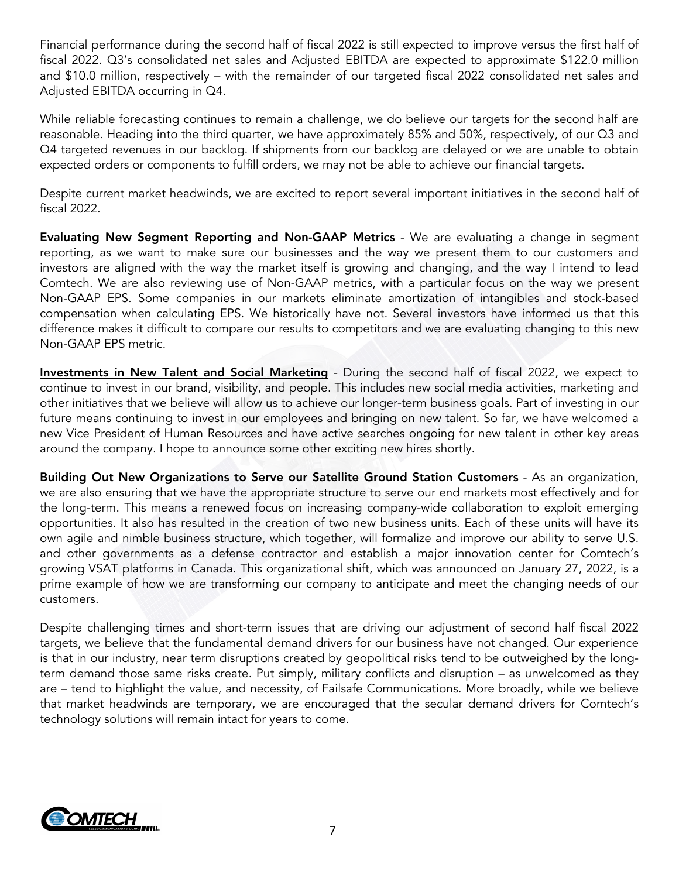Financial performance during the second half of fiscal 2022 is still expected to improve versus the first half of fiscal 2022. Q3's consolidated net sales and Adjusted EBITDA are expected to approximate \$122.0 million and \$10.0 million, respectively – with the remainder of our targeted fiscal 2022 consolidated net sales and Adjusted EBITDA occurring in Q4.

While reliable forecasting continues to remain a challenge, we do believe our targets for the second half are reasonable. Heading into the third quarter, we have approximately 85% and 50%, respectively, of our Q3 and Q4 targeted revenues in our backlog. If shipments from our backlog are delayed or we are unable to obtain expected orders or components to fulfill orders, we may not be able to achieve our financial targets.

Despite current market headwinds, we are excited to report several important initiatives in the second half of fiscal 2022.

**Evaluating New Segment Reporting and Non-GAAP Metrics** - We are evaluating a change in segment reporting, as we want to make sure our businesses and the way we present them to our customers and investors are aligned with the way the market itself is growing and changing, and the way I intend to lead Comtech. We are also reviewing use of Non-GAAP metrics, with a particular focus on the way we present Non-GAAP EPS. Some companies in our markets eliminate amortization of intangibles and stock-based compensation when calculating EPS. We historically have not. Several investors have informed us that this difference makes it difficult to compare our results to competitors and we are evaluating changing to this new Non-GAAP EPS metric.

**Investments in New Talent and Social Marketing** - During the second half of fiscal 2022, we expect to continue to invest in our brand, visibility, and people. This includes new social media activities, marketing and other initiatives that we believe will allow us to achieve our longer-term business goals. Part of investing in our future means continuing to invest in our employees and bringing on new talent. So far, we have welcomed a new Vice President of Human Resources and have active searches ongoing for new talent in other key areas around the company. I hope to announce some other exciting new hires shortly.

**Building Out New Organizations to Serve our Satellite Ground Station Customers** - As an organization, we are also ensuring that we have the appropriate structure to serve our end markets most effectively and for the long-term. This means a renewed focus on increasing company-wide collaboration to exploit emerging opportunities. It also has resulted in the creation of two new business units. Each of these units will have its own agile and nimble business structure, which together, will formalize and improve our ability to serve U.S. and other governments as a defense contractor and establish a major innovation center for Comtech's growing VSAT platforms in Canada. This organizational shift, which was announced on January 27, 2022, is a prime example of how we are transforming our company to anticipate and meet the changing needs of our customers.

Despite challenging times and short-term issues that are driving our adjustment of second half fiscal 2022 targets, we believe that the fundamental demand drivers for our business have not changed. Our experience is that in our industry, near term disruptions created by geopolitical risks tend to be outweighed by the longterm demand those same risks create. Put simply, military conflicts and disruption – as unwelcomed as they are – tend to highlight the value, and necessity, of Failsafe Communications. More broadly, while we believe that market headwinds are temporary, we are encouraged that the secular demand drivers for Comtech's technology solutions will remain intact for years to come.

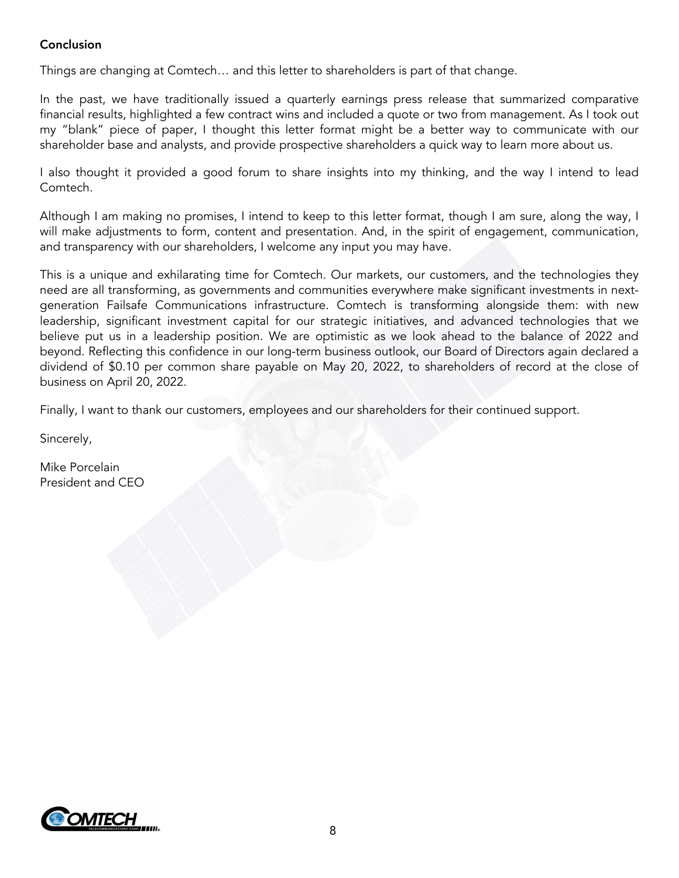## **Conclusion**

Things are changing at Comtech… and this letter to shareholders is part of that change.

In the past, we have traditionally issued a quarterly earnings press release that summarized comparative financial results, highlighted a few contract wins and included a quote or two from management. As I took out my "blank" piece of paper, I thought this letter format might be a better way to communicate with our shareholder base and analysts, and provide prospective shareholders a quick way to learn more about us.

I also thought it provided a good forum to share insights into my thinking, and the way I intend to lead Comtech.

Although I am making no promises, I intend to keep to this letter format, though I am sure, along the way, I will make adjustments to form, content and presentation. And, in the spirit of engagement, communication, and transparency with our shareholders, I welcome any input you may have.

This is a unique and exhilarating time for Comtech. Our markets, our customers, and the technologies they need are all transforming, as governments and communities everywhere make significant investments in nextgeneration Failsafe Communications infrastructure. Comtech is transforming alongside them: with new leadership, significant investment capital for our strategic initiatives, and advanced technologies that we believe put us in a leadership position. We are optimistic as we look ahead to the balance of 2022 and beyond. Reflecting this confidence in our long-term business outlook, our Board of Directors again declared a dividend of \$0.10 per common share payable on May 20, 2022, to shareholders of record at the close of business on April 20, 2022.

Finally, I want to thank our customers, employees and our shareholders for their continued support.

Sincerely,

Mike Porcelain President and CEO

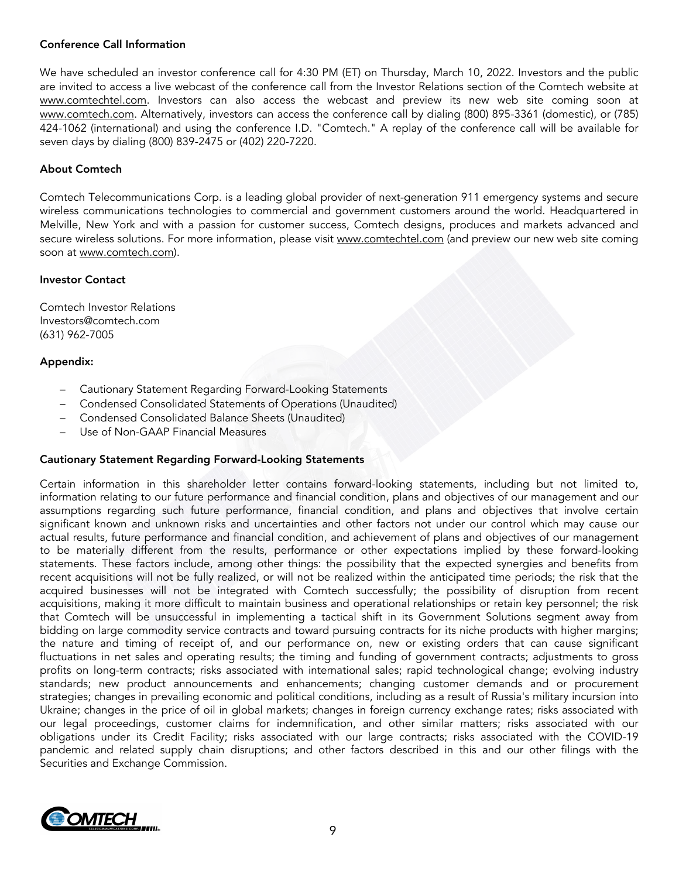## **Conference Call Information**

We have scheduled an investor conference call for 4:30 PM (ET) on Thursday, March 10, 2022. Investors and the public are invited to access a live webcast of the conference call from the Investor Relations section of the Comtech website at www.comtechtel.com. Investors can also access the webcast and preview its new web site coming soon at www.comtech.com. Alternatively, investors can access the conference call by dialing (800) 895-3361 (domestic), or (785) 424-1062 (international) and using the conference I.D. "Comtech." A replay of the conference call will be available for seven days by dialing (800) 839-2475 or (402) 220-7220.

#### **About Comtech**

Comtech Telecommunications Corp. is a leading global provider of next-generation 911 emergency systems and secure wireless communications technologies to commercial and government customers around the world. Headquartered in Melville, New York and with a passion for customer success, Comtech designs, produces and markets advanced and secure wireless solutions. For more information, please visit www.comtechtel.com (and preview our new web site coming soon at www.comtech.com).

#### **Investor Contact**

Comtech Investor Relations Investors@comtech.com (631) 962-7005

#### **Appendix:**

- Cautionary Statement Regarding Forward-Looking Statements
- Condensed Consolidated Statements of Operations (Unaudited)
- Condensed Consolidated Balance Sheets (Unaudited)
- Use of Non-GAAP Financial Measures

## **Cautionary Statement Regarding Forward-Looking Statements**

Certain information in this shareholder letter contains forward-looking statements, including but not limited to, information relating to our future performance and financial condition, plans and objectives of our management and our assumptions regarding such future performance, financial condition, and plans and objectives that involve certain significant known and unknown risks and uncertainties and other factors not under our control which may cause our actual results, future performance and financial condition, and achievement of plans and objectives of our management to be materially different from the results, performance or other expectations implied by these forward-looking statements. These factors include, among other things: the possibility that the expected synergies and benefits from recent acquisitions will not be fully realized, or will not be realized within the anticipated time periods; the risk that the acquired businesses will not be integrated with Comtech successfully; the possibility of disruption from recent acquisitions, making it more difficult to maintain business and operational relationships or retain key personnel; the risk that Comtech will be unsuccessful in implementing a tactical shift in its Government Solutions segment away from bidding on large commodity service contracts and toward pursuing contracts for its niche products with higher margins; the nature and timing of receipt of, and our performance on, new or existing orders that can cause significant fluctuations in net sales and operating results; the timing and funding of government contracts; adjustments to gross profits on long-term contracts; risks associated with international sales; rapid technological change; evolving industry standards; new product announcements and enhancements; changing customer demands and or procurement strategies; changes in prevailing economic and political conditions, including as a result of Russia's military incursion into Ukraine; changes in the price of oil in global markets; changes in foreign currency exchange rates; risks associated with our legal proceedings, customer claims for indemnification, and other similar matters; risks associated with our obligations under its Credit Facility; risks associated with our large contracts; risks associated with the COVID-19 pandemic and related supply chain disruptions; and other factors described in this and our other filings with the Securities and Exchange Commission.

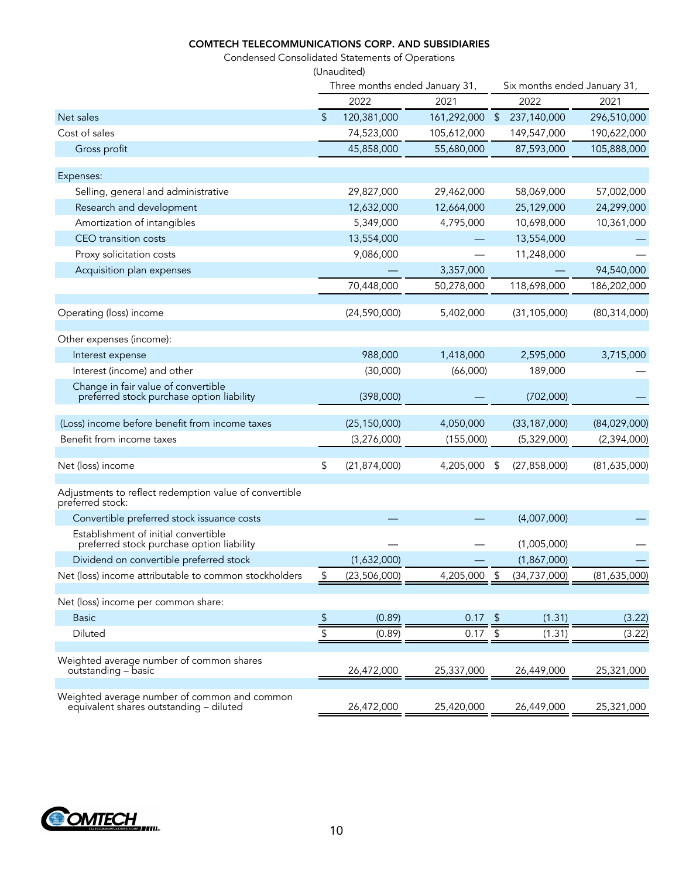## **COMTECH TELECOMMUNICATIONS CORP. AND SUBSIDIARIES**

Condensed Consolidated Statements of Operations

|                                                                                         |               | (Unaudited)                    |             |                       |                              |                |  |  |
|-----------------------------------------------------------------------------------------|---------------|--------------------------------|-------------|-----------------------|------------------------------|----------------|--|--|
|                                                                                         |               | Three months ended January 31, |             |                       | Six months ended January 31, |                |  |  |
|                                                                                         |               | 2022                           | 2021        |                       | 2022                         | 2021           |  |  |
| Net sales                                                                               | \$            | 120,381,000                    | 161,292,000 | $\sqrt{2}$            | 237,140,000                  | 296,510,000    |  |  |
| Cost of sales                                                                           |               | 74,523,000                     | 105,612,000 |                       | 149,547,000                  | 190,622,000    |  |  |
| Gross profit                                                                            |               | 45,858,000                     | 55,680,000  |                       | 87,593,000                   | 105,888,000    |  |  |
| Expenses:                                                                               |               |                                |             |                       |                              |                |  |  |
| Selling, general and administrative                                                     |               | 29,827,000                     | 29,462,000  |                       | 58,069,000                   | 57,002,000     |  |  |
| Research and development                                                                |               | 12,632,000                     | 12,664,000  |                       | 25,129,000                   | 24,299,000     |  |  |
| Amortization of intangibles                                                             |               | 5,349,000                      | 4,795,000   |                       | 10,698,000                   | 10,361,000     |  |  |
| CEO transition costs                                                                    |               | 13,554,000                     |             |                       | 13,554,000                   |                |  |  |
| Proxy solicitation costs                                                                |               | 9,086,000                      |             |                       | 11,248,000                   |                |  |  |
| Acquisition plan expenses                                                               |               |                                | 3,357,000   |                       |                              | 94,540,000     |  |  |
|                                                                                         |               | 70,448,000                     | 50,278,000  |                       | 118,698,000                  | 186,202,000    |  |  |
| Operating (loss) income                                                                 |               | (24, 590, 000)                 | 5,402,000   |                       | (31, 105, 000)               | (80, 314, 000) |  |  |
| Other expenses (income):                                                                |               |                                |             |                       |                              |                |  |  |
| Interest expense                                                                        |               | 988,000                        | 1,418,000   |                       | 2,595,000                    | 3,715,000      |  |  |
| Interest (income) and other                                                             |               | (30,000)                       | (66,000)    |                       | 189,000                      |                |  |  |
| Change in fair value of convertible<br>preferred stock purchase option liability        |               | (398,000)                      |             |                       | (702,000)                    |                |  |  |
| (Loss) income before benefit from income taxes                                          |               | (25, 150, 000)                 | 4,050,000   |                       | (33, 187, 000)               | (84,029,000)   |  |  |
| Benefit from income taxes                                                               |               | (3,276,000)                    | (155,000)   |                       | (5,329,000)                  | (2,394,000)    |  |  |
| Net (loss) income                                                                       | \$            | (21, 874, 000)                 | 4,205,000   | \$                    | (27, 858, 000)               | (81,635,000)   |  |  |
| Adjustments to reflect redemption value of convertible<br>preferred stock:              |               |                                |             |                       |                              |                |  |  |
| Convertible preferred stock issuance costs                                              |               |                                |             |                       | (4,007,000)                  |                |  |  |
| Establishment of initial convertible<br>preferred stock purchase option liability       |               |                                |             |                       | (1,005,000)                  |                |  |  |
| Dividend on convertible preferred stock                                                 |               | (1,632,000)                    |             |                       | (1,867,000)                  |                |  |  |
| Net (loss) income attributable to common stockholders                                   | \$            | (23,506,000)                   | 4,205,000   | \$                    | (34, 737, 000)               | (81,635,000)   |  |  |
| Net (loss) income per common share:                                                     |               |                                |             |                       |                              |                |  |  |
| <b>Basic</b>                                                                            | $\frac{1}{2}$ | (0.89)                         | 0.17        | $\sqrt{2}$            | (1.31)                       | (3.22)         |  |  |
| Diluted                                                                                 | \$            | (0.89)                         | 0.17        | $\, \, \mathbb{S} \,$ | (1.31)                       | (3.22)         |  |  |
|                                                                                         |               |                                |             |                       |                              |                |  |  |
| Weighted average number of common shares<br>outstanding - basic                         |               | 26,472,000                     | 25,337,000  |                       | 26,449,000                   | 25,321,000     |  |  |
| Weighted average number of common and common<br>equivalent shares outstanding - diluted |               | 26,472,000                     | 25,420,000  |                       | 26,449,000                   | 25,321,000     |  |  |

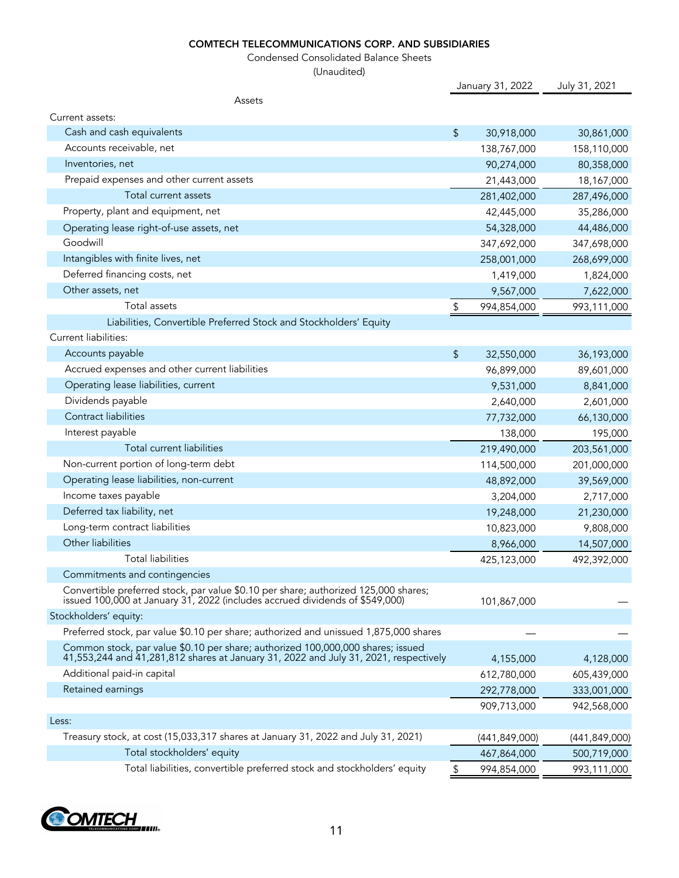## **COMTECH TELECOMMUNICATIONS CORP. AND SUBSIDIARIES**

Condensed Consolidated Balance Sheets

(Unaudited)

|                                                                                                                                                                         |    | January 31, 2022 | July 31, 2021 |  |
|-------------------------------------------------------------------------------------------------------------------------------------------------------------------------|----|------------------|---------------|--|
| Assets                                                                                                                                                                  |    |                  |               |  |
| Current assets:                                                                                                                                                         |    |                  |               |  |
| Cash and cash equivalents                                                                                                                                               | \$ | 30,918,000       | 30,861,000    |  |
| Accounts receivable, net                                                                                                                                                |    | 138,767,000      | 158,110,000   |  |
| Inventories, net                                                                                                                                                        |    | 90,274,000       | 80,358,000    |  |
| Prepaid expenses and other current assets                                                                                                                               |    | 21,443,000       | 18,167,000    |  |
| Total current assets                                                                                                                                                    |    | 281,402,000      | 287,496,000   |  |
| Property, plant and equipment, net                                                                                                                                      |    | 42,445,000       | 35,286,000    |  |
| Operating lease right-of-use assets, net                                                                                                                                |    | 54,328,000       | 44,486,000    |  |
| Goodwill                                                                                                                                                                |    | 347,692,000      | 347,698,000   |  |
| Intangibles with finite lives, net                                                                                                                                      |    | 258,001,000      | 268,699,000   |  |
| Deferred financing costs, net                                                                                                                                           |    | 1,419,000        | 1,824,000     |  |
| Other assets, net                                                                                                                                                       |    | 9,567,000        | 7,622,000     |  |
| Total assets                                                                                                                                                            | \$ | 994,854,000      | 993,111,000   |  |
| Liabilities, Convertible Preferred Stock and Stockholders' Equity                                                                                                       |    |                  |               |  |
| Current liabilities:                                                                                                                                                    |    |                  |               |  |
| Accounts payable                                                                                                                                                        | \$ | 32,550,000       | 36,193,000    |  |
| Accrued expenses and other current liabilities                                                                                                                          |    | 96,899,000       | 89,601,000    |  |
| Operating lease liabilities, current                                                                                                                                    |    | 9,531,000        | 8,841,000     |  |
| Dividends payable                                                                                                                                                       |    | 2,640,000        | 2,601,000     |  |
| <b>Contract liabilities</b>                                                                                                                                             |    | 77,732,000       | 66,130,000    |  |
| Interest payable                                                                                                                                                        |    | 138,000          | 195,000       |  |
| Total current liabilities                                                                                                                                               |    | 219,490,000      | 203,561,000   |  |
| Non-current portion of long-term debt                                                                                                                                   |    | 114,500,000      | 201,000,000   |  |
| Operating lease liabilities, non-current                                                                                                                                |    | 48,892,000       | 39,569,000    |  |
| Income taxes payable                                                                                                                                                    |    | 3,204,000        | 2,717,000     |  |
| Deferred tax liability, net                                                                                                                                             |    | 19,248,000       | 21,230,000    |  |
| Long-term contract liabilities                                                                                                                                          |    | 10,823,000       | 9,808,000     |  |
| Other liabilities                                                                                                                                                       |    | 8,966,000        | 14,507,000    |  |
| <b>Total liabilities</b>                                                                                                                                                |    | 425,123,000      | 492,392,000   |  |
| Commitments and contingencies                                                                                                                                           |    |                  |               |  |
| Convertible preferred stock, par value \$0.10 per share; authorized 125,000 shares;<br>issued 100,000 at January 31, 2022 (includes accrued dividends of \$549,000)     |    | 101,867,000      |               |  |
| Stockholders' equity:                                                                                                                                                   |    |                  |               |  |
| Preferred stock, par value \$0.10 per share; authorized and unissued 1,875,000 shares                                                                                   |    |                  |               |  |
| Common stock, par value \$0.10 per share; authorized 100,000,000 shares; issued<br>41,553,244 and 41,281,812 shares at January 31, 2022 and July 31, 2021, respectively |    | 4,155,000        | 4,128,000     |  |
| Additional paid-in capital                                                                                                                                              |    | 612,780,000      | 605,439,000   |  |
| Retained earnings                                                                                                                                                       |    | 292,778,000      | 333,001,000   |  |
|                                                                                                                                                                         |    | 909,713,000      | 942,568,000   |  |
| Less:                                                                                                                                                                   |    |                  |               |  |
| Treasury stock, at cost (15,033,317 shares at January 31, 2022 and July 31, 2021)                                                                                       |    | (441, 849, 000)  | (441,849,000) |  |
| Total stockholders' equity                                                                                                                                              |    | 467,864,000      | 500,719,000   |  |
| Total liabilities, convertible preferred stock and stockholders' equity                                                                                                 | \$ | 994,854,000      | 993,111,000   |  |

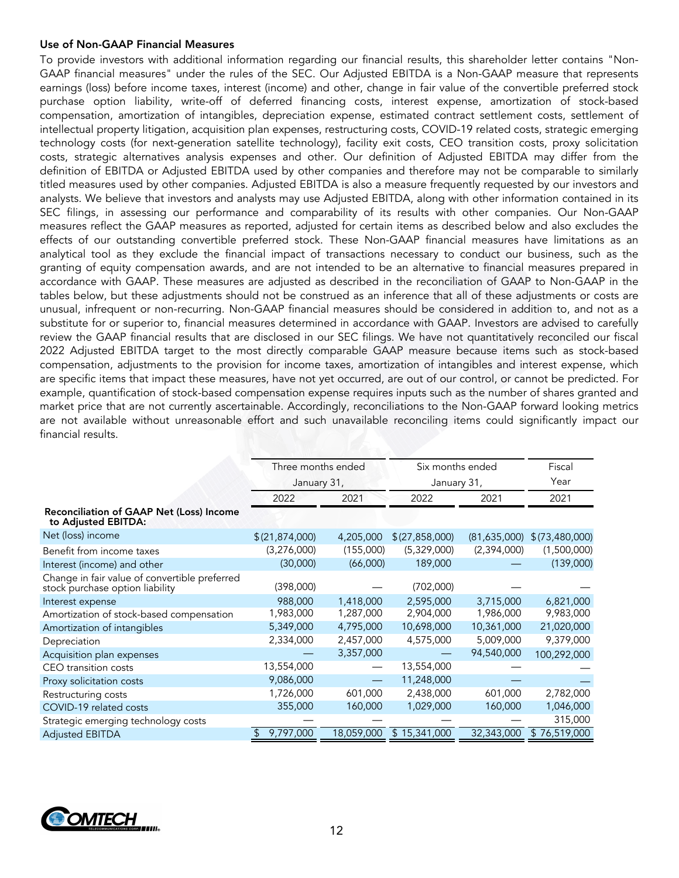#### **Use of Non-GAAP Financial Measures**

To provide investors with additional information regarding our financial results, this shareholder letter contains "Non-GAAP financial measures" under the rules of the SEC. Our Adjusted EBITDA is a Non-GAAP measure that represents earnings (loss) before income taxes, interest (income) and other, change in fair value of the convertible preferred stock purchase option liability, write-off of deferred financing costs, interest expense, amortization of stock-based compensation, amortization of intangibles, depreciation expense, estimated contract settlement costs, settlement of intellectual property litigation, acquisition plan expenses, restructuring costs, COVID-19 related costs, strategic emerging technology costs (for next-generation satellite technology), facility exit costs, CEO transition costs, proxy solicitation costs, strategic alternatives analysis expenses and other. Our definition of Adjusted EBITDA may differ from the definition of EBITDA or Adjusted EBITDA used by other companies and therefore may not be comparable to similarly titled measures used by other companies. Adjusted EBITDA is also a measure frequently requested by our investors and analysts. We believe that investors and analysts may use Adjusted EBITDA, along with other information contained in its SEC filings, in assessing our performance and comparability of its results with other companies. Our Non-GAAP measures reflect the GAAP measures as reported, adjusted for certain items as described below and also excludes the effects of our outstanding convertible preferred stock. These Non-GAAP financial measures have limitations as an analytical tool as they exclude the financial impact of transactions necessary to conduct our business, such as the granting of equity compensation awards, and are not intended to be an alternative to financial measures prepared in accordance with GAAP. These measures are adjusted as described in the reconciliation of GAAP to Non-GAAP in the tables below, but these adjustments should not be construed as an inference that all of these adjustments or costs are unusual, infrequent or non-recurring. Non-GAAP financial measures should be considered in addition to, and not as a substitute for or superior to, financial measures determined in accordance with GAAP. Investors are advised to carefully review the GAAP financial results that are disclosed in our SEC filings. We have not quantitatively reconciled our fiscal 2022 Adjusted EBITDA target to the most directly comparable GAAP measure because items such as stock-based compensation, adjustments to the provision for income taxes, amortization of intangibles and interest expense, which are specific items that impact these measures, have not yet occurred, are out of our control, or cannot be predicted. For example, quantification of stock-based compensation expense requires inputs such as the number of shares granted and market price that are not currently ascertainable. Accordingly, reconciliations to the Non-GAAP forward looking metrics are not available without unreasonable effort and such unavailable reconciling items could significantly impact our financial results.

|                                                            |             |                    | Fiscal       |                  |  |
|------------------------------------------------------------|-------------|--------------------|--------------|------------------|--|
|                                                            | January 31, |                    | January 31,  |                  |  |
| 2022                                                       | 2021        | 2022               | 2021         | 2021             |  |
| Reconciliation of GAAP Net (Loss) Income                   |             |                    |              |                  |  |
| \$(21, 874, 000)                                           | 4,205,000   | \$(27,858,000)     | (81,635,000) | \$(73,480,000)   |  |
| (3,276,000)                                                | (155,000)   | (5,329,000)        | (2,394,000)  | (1,500,000)      |  |
| (30,000)                                                   | (66,000)    | 189,000            |              | (139,000)        |  |
| Change in fair value of convertible preferred<br>(398,000) |             | (702,000)          |              |                  |  |
| 988,000                                                    | 1,418,000   | 2,595,000          | 3,715,000    | 6,821,000        |  |
| 1,983,000                                                  | 1,287,000   | 2,904,000          | 1,986,000    | 9,983,000        |  |
| 5,349,000                                                  | 4,795,000   | 10,698,000         | 10,361,000   | 21,020,000       |  |
| 2,334,000                                                  | 2,457,000   | 4,575,000          | 5,009,000    | 9,379,000        |  |
|                                                            | 3,357,000   |                    | 94,540,000   | 100,292,000      |  |
| 13,554,000                                                 |             | 13,554,000         |              |                  |  |
| 9,086,000                                                  |             | 11,248,000         |              |                  |  |
| 1,726,000                                                  | 601,000     | 2,438,000          | 601,000      | 2,782,000        |  |
| 355,000                                                    | 160,000     | 1,029,000          | 160,000      | 1,046,000        |  |
|                                                            |             |                    |              | 315,000          |  |
| 9,797,000                                                  | 18,059,000  | \$15,341,000       | 32,343,000   | \$76,519,000     |  |
|                                                            |             | Three months ended |              | Six months ended |  |

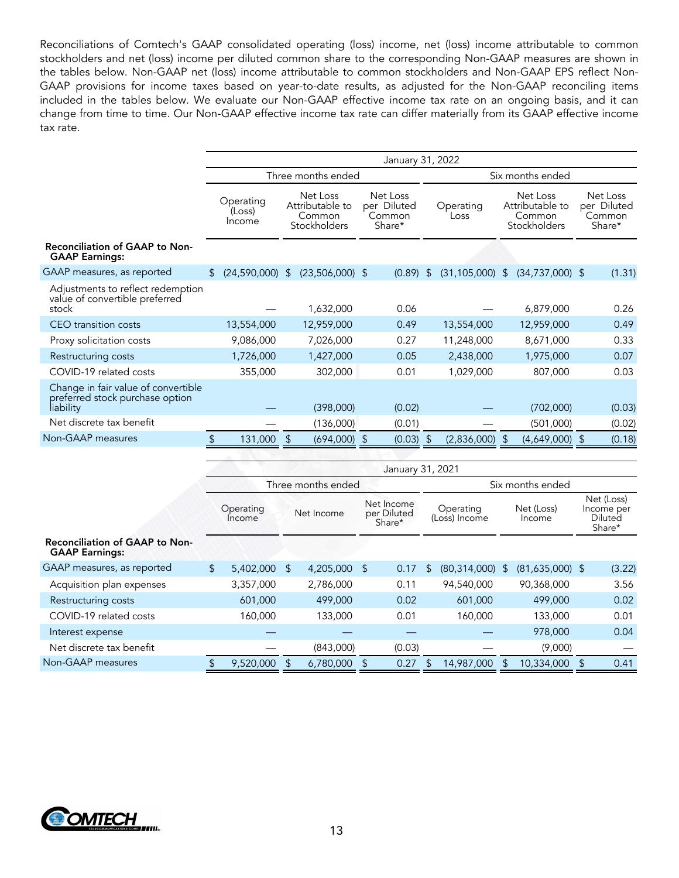Reconciliations of Comtech's GAAP consolidated operating (loss) income, net (loss) income attributable to common stockholders and net (loss) income per diluted common share to the corresponding Non-GAAP measures are shown in the tables below. Non-GAAP net (loss) income attributable to common stockholders and Non-GAAP EPS reflect Non-GAAP provisions for income taxes based on year-to-date results, as adjusted for the Non-GAAP reconciling items included in the tables below. We evaluate our Non-GAAP effective income tax rate on an ongoing basis, and it can change from time to time. Our Non-GAAP effective income tax rate can differ materially from its GAAP effective income tax rate.

|                                                                                     | January 31, 2022                    |                                                       |                                             |                                      |                                                       |                                             |  |  |  |
|-------------------------------------------------------------------------------------|-------------------------------------|-------------------------------------------------------|---------------------------------------------|--------------------------------------|-------------------------------------------------------|---------------------------------------------|--|--|--|
|                                                                                     |                                     | Three months ended                                    |                                             | Six months ended                     |                                                       |                                             |  |  |  |
|                                                                                     | Operating<br>(Loss)<br>Income       | Net Loss<br>Attributable to<br>Common<br>Stockholders | Net Loss<br>per Diluted<br>Common<br>Share* | Operating<br>Loss                    | Net Loss<br>Attributable to<br>Common<br>Stockholders | Net Loss<br>per Diluted<br>Common<br>Share* |  |  |  |
| <b>Reconciliation of GAAP to Non-</b><br><b>GAAP Earnings:</b>                      |                                     |                                                       |                                             |                                      |                                                       |                                             |  |  |  |
| GAAP measures, as reported                                                          | $\mathfrak{L}$<br>$(24,590,000)$ \$ | $(23,506,000)$ \$                                     | (0.89)                                      | $(31, 105, 000)$ \$<br>$\mathcal{L}$ | $(34,737,000)$ \$                                     | (1.31)                                      |  |  |  |
| Adjustments to reflect redemption<br>value of convertible preferred<br>stock        |                                     | 1,632,000                                             | 0.06                                        |                                      | 6,879,000                                             | 0.26                                        |  |  |  |
| CEO transition costs                                                                | 13,554,000                          | 12,959,000                                            | 0.49                                        | 13,554,000                           | 12,959,000                                            | 0.49                                        |  |  |  |
| Proxy solicitation costs                                                            | 9,086,000                           | 7,026,000                                             | 0.27                                        | 11,248,000                           | 8,671,000                                             | 0.33                                        |  |  |  |
| Restructuring costs                                                                 | 1,726,000                           | 1,427,000                                             | 0.05                                        | 2,438,000                            | 1,975,000                                             | 0.07                                        |  |  |  |
| COVID-19 related costs                                                              | 355,000                             | 302,000                                               | 0.01                                        | 1,029,000                            | 807,000                                               | 0.03                                        |  |  |  |
| Change in fair value of convertible<br>preferred stock purchase option<br>liability |                                     | (398,000)                                             | (0.02)                                      |                                      | (702,000)                                             | (0.03)                                      |  |  |  |
| Net discrete tax benefit                                                            |                                     | (136,000)                                             | (0.01)                                      |                                      | (501,000)                                             | (0.02)                                      |  |  |  |
| Non-GAAP measures                                                                   | 131,000                             | $(694,000)$ \$<br>\$                                  | (0.03)                                      | (2,836,000)<br>-S                    | $(4,649,000)$ \$<br>$\mathfrak{L}$                    | (0.18)                                      |  |  |  |

|                                                                | January 31, 2021   |                     |                                                   |              |  |                            |    |                      |  |                                               |  |        |  |
|----------------------------------------------------------------|--------------------|---------------------|---------------------------------------------------|--------------|--|----------------------------|----|----------------------|--|-----------------------------------------------|--|--------|--|
|                                                                | Three months ended |                     |                                                   |              |  |                            |    | Six months ended     |  |                                               |  |        |  |
|                                                                |                    | Operating<br>Income | Net Income<br>Net Income<br>per Diluted<br>Share* |              |  | Operating<br>(Loss) Income |    | Net (Loss)<br>Income |  | Net (Loss)<br>Income per<br>Diluted<br>Share* |  |        |  |
| <b>Reconciliation of GAAP to Non-</b><br><b>GAAP Earnings:</b> |                    |                     |                                                   |              |  |                            |    |                      |  |                                               |  |        |  |
| GAAP measures, as reported                                     | $\sqrt{2}$         | 5,402,000           | <sup>\$</sup>                                     | 4,205,000 \$ |  | 0.17                       | \$ | $(80,314,000)$ \$    |  | $(81,635,000)$ \$                             |  | (3.22) |  |
| Acquisition plan expenses                                      |                    | 3,357,000           |                                                   | 2,786,000    |  | 0.11                       |    | 94,540,000           |  | 90,368,000                                    |  | 3.56   |  |
| Restructuring costs                                            |                    | 601,000             |                                                   | 499,000      |  | 0.02                       |    | 601,000              |  | 499,000                                       |  | 0.02   |  |
| COVID-19 related costs                                         |                    | 160,000             |                                                   | 133,000      |  | 0.01                       |    | 160,000              |  | 133,000                                       |  | 0.01   |  |
| Interest expense                                               |                    |                     |                                                   |              |  |                            |    |                      |  | 978,000                                       |  | 0.04   |  |
| Net discrete tax benefit                                       |                    |                     |                                                   | (843,000)    |  | (0.03)                     |    |                      |  | (9,000)                                       |  |        |  |
| Non-GAAP measures                                              |                    | 9,520,000           |                                                   | 6,780,000    |  | 0.27                       |    | 14,987,000           |  | 10,334,000                                    |  | 0.41   |  |